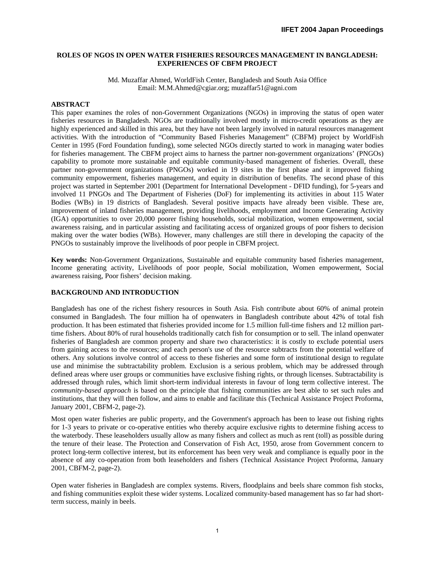# **ROLES OF NGOS IN OPEN WATER FISHERIES RESOURCES MANAGEMENT IN BANGLADESH: EXPERIENCES OF CBFM PROJECT**

Md. Muzaffar Ahmed, WorldFish Center, Bangladesh and South Asia Office Email: M.M.Ahmed@cgiar.org; muzaffar51@agni.com

#### **ABSTRACT**

This paper examines the roles of non-Government Organizations (NGOs) in improving the status of open water fisheries resources in Bangladesh. NGOs are traditionally involved mostly in micro-credit operations as they are highly experienced and skilled in this area, but they have not been largely involved in natural resources management activities. With the introduction of "Community Based Fisheries Management" (CBFM) project by WorldFish Center in 1995 (Ford Foundation funding), some selected NGOs directly started to work in managing water bodies for fisheries management. The CBFM project aims to harness the partner non-government organizations' (PNGOs) capability to promote more sustainable and equitable community-based management of fisheries. Overall, these partner non-government organizations (PNGOs) worked in 19 sites in the first phase and it improved fishing community empowerment, fisheries management, and equity in distribution of benefits. The second phase of this project was started in September 2001 (Department for International Development - DFID funding), for 5-years and involved 11 PNGOs and The Department of Fisheries (DoF) for implementing its activities in about 115 Water Bodies (WBs) in 19 districts of Bangladesh. Several positive impacts have already been visible. These are, improvement of inland fisheries management, providing livelihoods, employment and Income Generating Activity (IGA) opportunities to over 20,000 poorer fishing households, social mobilization, women empowerment, social awareness raising, and in particular assisting and facilitating access of organized groups of poor fishers to decision making over the water bodies (WBs). However, many challenges are still there in developing the capacity of the PNGOs to sustainably improve the livelihoods of poor people in CBFM project.

**Key words:** Non-Government Organizations, Sustainable and equitable community based fisheries management, Income generating activity, Livelihoods of poor people, Social mobilization, Women empowerment, Social awareness raising, Poor fishers' decision making.

### **BACKGROUND AND INTRODUCTION**

Bangladesh has one of the richest fishery resources in South Asia. Fish contribute about 60% of animal protein consumed in Bangladesh. The four million ha of openwaters in Bangladesh contribute about 42% of total fish production. It has been estimated that fisheries provided income for 1.5 million full-time fishers and 12 million parttime fishers. About 80% of rural households traditionally catch fish for consumption or to sell. The inland openwater fisheries of Bangladesh are common property and share two characteristics: it is costly to exclude potential users from gaining access to the resources; and each person's use of the resource subtracts from the potential welfare of others. Any solutions involve control of access to these fisheries and some form of institutional design to regulate use and minimise the subtractability problem. Exclusion is a serious problem, which may be addressed through defined areas where user groups or communities have exclusive fishing rights, or through licenses. Subtractability is addressed through rules, which limit short-term individual interests in favour of long term collective interest. The *community-based approach* is based on the principle that fishing communities are best able to set such rules and institutions, that they will then follow, and aims to enable and facilitate this (Technical Assistance Project Proforma, January 2001, CBFM-2, page-2).

Most open water fisheries are public property, and the Government's approach has been to lease out fishing rights for 1-3 years to private or co-operative entities who thereby acquire exclusive rights to determine fishing access to the waterbody. These leaseholders usually allow as many fishers and collect as much as rent (toll) as possible during the tenure of their lease. The Protection and Conservation of Fish Act, 1950, arose from Government concern to protect long-term collective interest, but its enforcement has been very weak and compliance is equally poor in the absence of any co-operation from both leaseholders and fishers (Technical Assistance Project Proforma, January 2001, CBFM-2, page-2).

Open water fisheries in Bangladesh are complex systems. Rivers, floodplains and beels share common fish stocks, and fishing communities exploit these wider systems. Localized community-based management has so far had shortterm success, mainly in beels.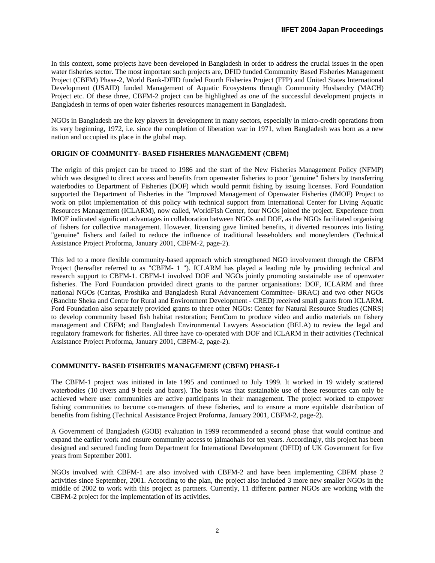In this context, some projects have been developed in Bangladesh in order to address the crucial issues in the open water fisheries sector. The most important such projects are, DFID funded Community Based Fisheries Management Project (CBFM) Phase-2, World Bank-DFID funded Fourth Fisheries Project (FFP) and United States International Development (USAID) funded Management of Aquatic Ecosystems through Community Husbandry (MACH) Project etc. Of these three, CBFM-2 project can be highlighted as one of the successful development projects in Bangladesh in terms of open water fisheries resources management in Bangladesh.

NGOs in Bangladesh are the key players in development in many sectors, especially in micro-credit operations from its very beginning, 1972, i.e. since the completion of liberation war in 1971, when Bangladesh was born as a new nation and occupied its place in the global map.

# **ORIGIN OF COMMUNITY- BASED FISHERIES MANAGEMENT (CBFM)**

The origin of this project can be traced to 1986 and the start of the New Fisheries Management Policy (NFMP) which was designed to direct access and benefits from openwater fisheries to poor "genuine" fishers by transferring waterbodies to Department of Fisheries (DOF) which would permit fishing by issuing licenses. Ford Foundation supported the Department of Fisheries in the "Improved Management of Openwater Fisheries (IMOF) Project to work on pilot implementation of this policy with technical support from International Center for Living Aquatic Resources Management (ICLARM), now called, WorldFish Center, four NGOs joined the project. Experience from IMOF indicated significant advantages in collaboration between NGOs and DOF, as the NGOs facilitated organising of fishers for collective management. However, licensing gave limited benefits, it diverted resources into listing "genuine" fishers and failed to reduce the influence of traditional leaseholders and moneylenders (Technical Assistance Project Proforma, January 2001, CBFM-2, page-2).

This led to a more flexible community-based approach which strengthened NGO involvement through the CBFM Project (hereafter referred to as "CBFM- 1 "). ICLARM has played a leading role by providing technical and research support to CBFM-1. CBFM-1 involved DOF and NGOs jointly promoting sustainable use of openwater fisheries. The Ford Foundation provided direct grants to the partner organisations: DOF, ICLARM and three national NGOs (Caritas, Proshika and Bangladesh Rural Advancement Committee- BRAC) and two other NGOs (Banchte Sheka and Centre for Rural and Environment Development - CRED) received small grants from ICLARM. Ford Foundation also separately provided grants to three other NGOs: Center for Natural Resource Studies (CNRS) to develop community based fish habitat restoration; FemCom to produce video and audio materials on fishery management and CBFM; and Bangladesh Environmental Lawyers Association (BELA) to review the legal and regulatory framework for fisheries. All three have co-operated with DOF and ICLARM in their activities (Technical Assistance Project Proforma, January 2001, CBFM-2, page-2).

# **COMMUNITY- BASED FISHERIES MANAGEMENT (CBFM) PHASE-1**

The CBFM-1 project was initiated in late 1995 and continued to July 1999. It worked in 19 widely scattered waterbodies (10 rivers and 9 beels and baors). The basis was that sustainable use of these resources can only be achieved where user communities are active participants in their management. The project worked to empower fishing communities to become co-managers of these fisheries, and to ensure a more equitable distribution of benefits from fishing (Technical Assistance Project Proforma, January 2001, CBFM-2, page-2).

A Government of Bangladesh (GOB) evaluation in 1999 recommended a second phase that would continue and expand the earlier work and ensure community access to jalmaohals for ten years. Accordingly, this project has been designed and secured funding from Department for International Development (DFID) of UK Government for five years from September 2001.

NGOs involved with CBFM-1 are also involved with CBFM-2 and have been implementing CBFM phase 2 activities since September, 2001. According to the plan, the project also included 3 more new smaller NGOs in the middle of 2002 to work with this project as partners. Currently, 11 different partner NGOs are working with the CBFM-2 project for the implementation of its activities.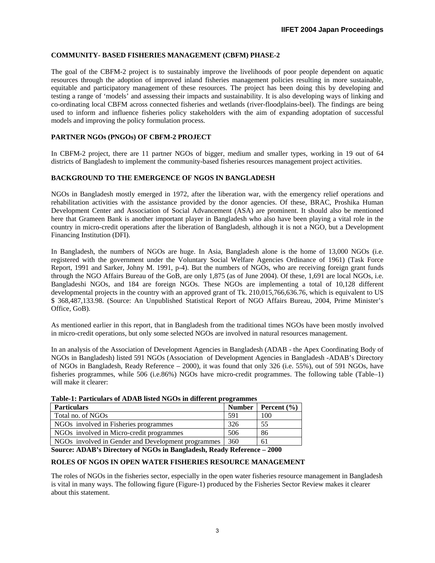# **COMMUNITY- BASED FISHERIES MANAGEMENT (CBFM) PHASE-2**

The goal of the CBFM-2 project is to sustainably improve the livelihoods of poor people dependent on aquatic resources through the adoption of improved inland fisheries management policies resulting in more sustainable, equitable and participatory management of these resources. The project has been doing this by developing and testing a range of 'models' and assessing their impacts and sustainability. It is also developing ways of linking and co-ordinating local CBFM across connected fisheries and wetlands (river-floodplains-beel). The findings are being used to inform and influence fisheries policy stakeholders with the aim of expanding adoptation of successful models and improving the policy formulation process.

# **PARTNER NGOs (PNGOs) OF CBFM-2 PROJECT**

In CBFM-2 project, there are 11 partner NGOs of bigger, medium and smaller types, working in 19 out of 64 districts of Bangladesh to implement the community-based fisheries resources management project activities.

# **BACKGROUND TO THE EMERGENCE OF NGOS IN BANGLADESH**

NGOs in Bangladesh mostly emerged in 1972, after the liberation war, with the emergency relief operations and rehabilitation activities with the assistance provided by the donor agencies. Of these, BRAC, Proshika Human Development Center and Association of Social Advancement (ASA) are prominent. It should also be mentioned here that Grameen Bank is another important player in Bangladesh who also have been playing a vital role in the country in micro-credit operations after the liberation of Bangladesh, although it is not a NGO, but a Development Financing Institution (DFI).

In Bangladesh, the numbers of NGOs are huge. In Asia, Bangladesh alone is the home of 13,000 NGOs (i.e. registered with the government under the Voluntary Social Welfare Agencies Ordinance of 1961) (Task Force Report, 1991 and Sarker, Johny M. 1991, p-4). But the numbers of NGOs, who are receiving foreign grant funds through the NGO Affairs Bureau of the GoB, are only 1,875 (as of June 2004). Of these, 1,691 are local NGOs, i.e. Bangladeshi NGOs, and 184 are foreign NGOs. These NGOs are implementing a total of 10,128 different developmental projects in the country with an approved grant of Tk. 210,015,766,636.76, which is equivalent to US \$ 368,487,133.98. (Source: An Unpublished Statistical Report of NGO Affairs Bureau, 2004, Prime Minister's Office, GoB).

As mentioned earlier in this report, that in Bangladesh from the traditional times NGOs have been mostly involved in micro-credit operations, but only some selected NGOs are involved in natural resources management.

In an analysis of the Association of Development Agencies in Bangladesh (ADAB - the Apex Coordinating Body of NGOs in Bangladesh) listed 591 NGOs (Association of Development Agencies in Bangladesh -ADAB's Directory of NGOs in Bangladesh, Ready Reference – 2000), it was found that only 326 (i.e. 55%), out of 591 NGOs, have fisheries programmes, while 506 (i.e.86%) NGOs have micro-credit programmes. The following table (Table–1) will make it clearer:

| Table-1: Particulars of ADAB listed NGOs in different programmes |     |                          |  |  |
|------------------------------------------------------------------|-----|--------------------------|--|--|
| <b>Particulars</b>                                               |     | Number   Percent $(\% )$ |  |  |
| Total no. of NGOs                                                | 591 | 100                      |  |  |
| NGOs involved in Fisheries programmes                            | 326 | 55                       |  |  |
| NGOs involved in Micro-credit programmes                         | 506 | 86                       |  |  |
| NGOs involved in Gender and Development programmes               | 360 | 61                       |  |  |

# **Table-1: Particulars of ADAB listed NGOs in different programmes**

**Source: ADAB's Directory of NGOs in Bangladesh, Ready Reference – 2000**

# **ROLES OF NGOS IN OPEN WATER FISHERIES RESOURCE MANAGEMENT**

The roles of NGOs in the fisheries sector, especially in the open water fisheries resource management in Bangladesh is vital in many ways. The following figure (Figure-1) produced by the Fisheries Sector Review makes it clearer about this statement.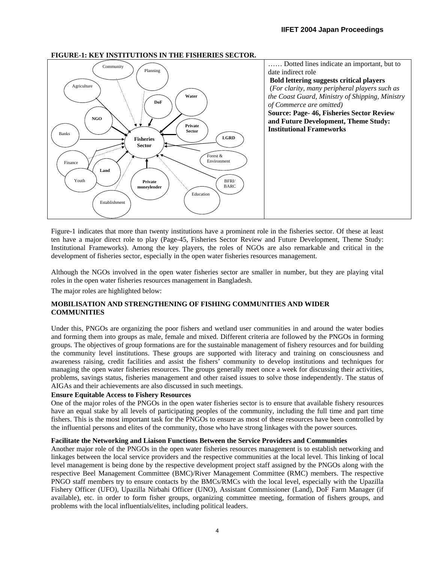

# **FIGURE-1: KEY INSTITUTIONS IN THE FISHERIES SECTOR.**

Figure-1 indicates that more than twenty institutions have a prominent role in the fisheries sector. Of these at least ten have a major direct role to play (Page-45, Fisheries Sector Review and Future Development, Theme Study: Institutional Frameworks). Among the key players, the roles of NGOs are also remarkable and critical in the development of fisheries sector, especially in the open water fisheries resources management.

Although the NGOs involved in the open water fisheries sector are smaller in number, but they are playing vital roles in the open water fisheries resources management in Bangladesh.

The major roles are highlighted below:

# **MOBILISATION AND STRENGTHENING OF FISHING COMMUNITIES AND WIDER COMMUNITIES**

Under this, PNGOs are organizing the poor fishers and wetland user communities in and around the water bodies and forming them into groups as male, female and mixed. Different criteria are followed by the PNGOs in forming groups. The objectives of group formations are for the sustainable management of fishery resources and for building the community level institutions. These groups are supported with literacy and training on consciousness and awareness raising, credit facilities and assist the fishers' community to develop institutions and techniques for managing the open water fisheries resources. The groups generally meet once a week for discussing their activities, problems, savings status, fisheries management and other raised issues to solve those independently. The status of AIGAs and their achievements are also discussed in such meetings.

# **Ensure Equitable Access to Fishery Resources**

One of the major roles of the PNGOs in the open water fisheries sector is to ensure that available fishery resources have an equal stake by all levels of participating peoples of the community, including the full time and part time fishers. This is the most important task for the PNGOs to ensure as most of these resources have been controlled by the influential persons and elites of the community, those who have strong linkages with the power sources.

# **Facilitate the Networking and Liaison Functions Between the Service Providers and Communities**

Another major role of the PNGOs in the open water fisheries resources management is to establish networking and linkages between the local service providers and the respective communities at the local level. This linking of local level management is being done by the respective development project staff assigned by the PNGOs along with the respective Beel Management Committee (BMC)/River Management Committee (RMC) members. The respective PNGO staff members try to ensure contacts by the BMCs/RMCs with the local level, especially with the Upazilla Fishery Officer (UFO), Upazilla Nirbahi Officer (UNO), Assistant Commissioner (Land), DoF Farm Manager (if available), etc. in order to form fisher groups, organizing committee meeting, formation of fishers groups, and problems with the local influentials/elites, including political leaders.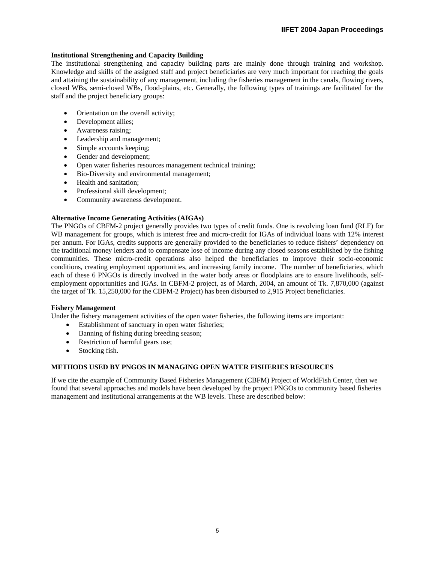# **Institutional Strengthening and Capacity Building**

The institutional strengthening and capacity building parts are mainly done through training and workshop. Knowledge and skills of the assigned staff and project beneficiaries are very much important for reaching the goals and attaining the sustainability of any management, including the fisheries management in the canals, flowing rivers, closed WBs, semi-closed WBs, flood-plains, etc. Generally, the following types of trainings are facilitated for the staff and the project beneficiary groups:

- Orientation on the overall activity;
- Development allies;
- Awareness raising;
- Leadership and management;
- Simple accounts keeping;
- Gender and development;
- Open water fisheries resources management technical training;
- Bio-Diversity and environmental management;
- Health and sanitation:
- Professional skill development;
- Community awareness development.

# **Alternative Income Generating Activities (AIGAs)**

The PNGOs of CBFM-2 project generally provides two types of credit funds. One is revolving loan fund (RLF) for WB management for groups, which is interest free and micro-credit for IGAs of individual loans with 12% interest per annum. For IGAs, credits supports are generally provided to the beneficiaries to reduce fishers' dependency on the traditional money lenders and to compensate lose of income during any closed seasons established by the fishing communities. These micro-credit operations also helped the beneficiaries to improve their socio-economic conditions, creating employment opportunities, and increasing family income. The number of beneficiaries, which each of these 6 PNGOs is directly involved in the water body areas or floodplains are to ensure livelihoods, selfemployment opportunities and IGAs. In CBFM-2 project, as of March, 2004, an amount of Tk. 7,870,000 (against the target of Tk. 15,250,000 for the CBFM-2 Project) has been disbursed to 2,915 Project beneficiaries.

# **Fishery Management**

Under the fishery management activities of the open water fisheries, the following items are important:

- Establishment of sanctuary in open water fisheries;
- Banning of fishing during breeding season;
- Restriction of harmful gears use;
- Stocking fish.

# **METHODS USED BY PNGOS IN MANAGING OPEN WATER FISHERIES RESOURCES**

If we cite the example of Community Based Fisheries Management (CBFM) Project of WorldFish Center, then we found that several approaches and models have been developed by the project PNGOs to community based fisheries management and institutional arrangements at the WB levels. These are described below: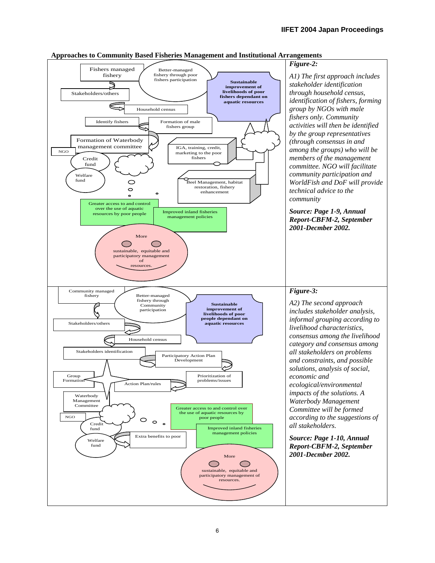

#### **Approaches to Community Based Fisheries Management and Institutional Arrangements**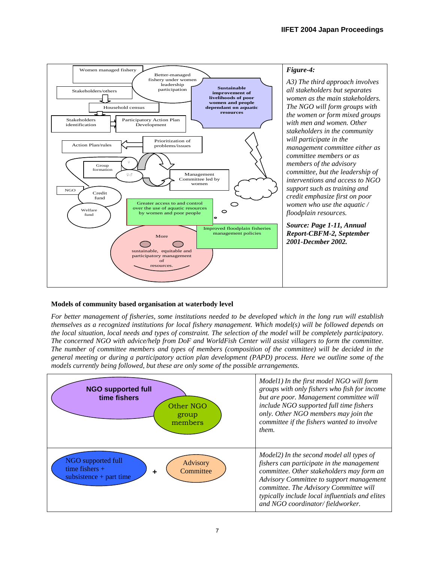

# **Models of community based organisation at waterbody level**

*For better management of fisheries, some institutions needed to be developed which in the long run will establish themselves as a recognized institutions for local fishery management. Which model(s) will be followed depends on the local situation, local needs and types of constraint. The selection of the model will be completely participatory. The concerned NGO with advice/help from DoF and WorldFish Center will assist villagers to form the committee. The number of committee members and types of members (composition of the committee) will be decided in the general meeting or during a participatory action plan development (PAPD) process. Here we outline some of the models currently being followed, but these are only some of the possible arrangements.* 

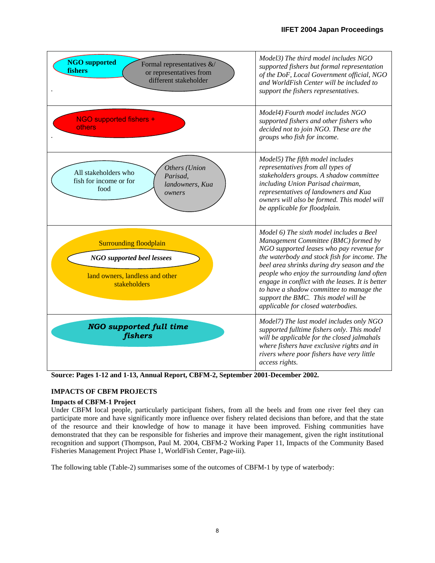| <b>NGO</b> supported<br>Formal representatives &/<br>fishers<br>or representatives from<br>different stakeholder      | Model3) The third model includes NGO<br>supported fishers but formal representation<br>of the DoF, Local Government official, NGO<br>and WorldFish Center will be included to<br>support the fishers representatives.                                                                                                                                                                                                                                   |
|-----------------------------------------------------------------------------------------------------------------------|---------------------------------------------------------------------------------------------------------------------------------------------------------------------------------------------------------------------------------------------------------------------------------------------------------------------------------------------------------------------------------------------------------------------------------------------------------|
| NGO supported fishers +<br>others                                                                                     | Model4) Fourth model includes NGO<br>supported fishers and other fishers who<br>decided not to join NGO. These are the<br>groups who fish for income.                                                                                                                                                                                                                                                                                                   |
| Others (Union<br>All stakeholders who<br>Parisad.<br>fish for income or for<br>landowners, Kua<br>food<br>owners      | Model5) The fifth model includes<br>representatives from all types of<br>stakeholders groups. A shadow committee<br>including Union Parisad chairman,<br>representatives of landowners and Kua<br>owners will also be formed. This model will<br>be applicable for floodplain.                                                                                                                                                                          |
| <b>Surrounding floodplain</b><br><b>NGO</b> supported beel lessees<br>land owners, landless and other<br>stakeholders | Model 6) The sixth model includes a Beel<br>Management Committee (BMC) formed by<br>NGO supported leases who pay revenue for<br>the waterbody and stock fish for income. The<br>beel area shrinks during dry season and the<br>people who enjoy the surrounding land often<br>engage in conflict with the leases. It is better<br>to have a shadow committee to manage the<br>support the BMC. This model will be<br>applicable for closed waterbodies. |
| <b>NGO</b> supported full time<br>fishers                                                                             | Model7) The last model includes only NGO<br>supported fulltime fishers only. This model<br>will be applicable for the closed jalmahals<br>where fishers have exclusive rights and in<br>rivers where poor fishers have very little<br>access rights.                                                                                                                                                                                                    |

**Source: Pages 1-12 and 1-13, Annual Report, CBFM-2, September 2001-December 2002.** 

# **IMPACTS OF CBFM PROJECTS**

# **Impacts of CBFM-1 Project**

Under CBFM local people, particularly participant fishers, from all the beels and from one river feel they can participate more and have significantly more influence over fishery related decisions than before, and that the state of the resource and their knowledge of how to manage it have been improved. Fishing communities have demonstrated that they can be responsible for fisheries and improve their management, given the right institutional recognition and support (Thompson, Paul M. 2004, CBFM-2 Working Paper 11, Impacts of the Community Based Fisheries Management Project Phase 1, WorldFish Center, Page-iii).

The following table (Table-2) summarises some of the outcomes of CBFM-1 by type of waterbody: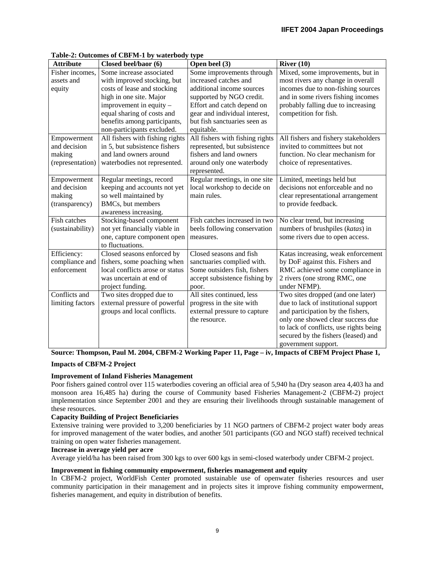| <b>Attribute</b> | Closed beel/baor (6)                                           | Open beel (3)                      | River $(10)$                                  |
|------------------|----------------------------------------------------------------|------------------------------------|-----------------------------------------------|
| Fisher incomes,  | Some increase associated                                       | Some improvements through          | Mixed, some improvements, but in              |
| assets and       | with improved stocking, but                                    | increased catches and              | most rivers any change in overall             |
| equity           | costs of lease and stocking                                    | additional income sources          | incomes due to non-fishing sources            |
|                  | high in one site. Major                                        | supported by NGO credit.           | and in some rivers fishing incomes            |
|                  | improvement in equity -                                        | Effort and catch depend on         | probably falling due to increasing            |
|                  | equal sharing of costs and                                     | gear and individual interest,      | competition for fish.                         |
|                  | benefits among participants,                                   | but fish sanctuaries seen as       |                                               |
|                  | non-participants excluded.                                     | equitable.                         |                                               |
| Empowerment      | All fishers with fishing rights                                | All fishers with fishing rights    | All fishers and fishery stakeholders          |
| and decision     | in 5, but subsistence fishers                                  | represented, but subsistence       | invited to committees but not                 |
| making           | and land owners around                                         | fishers and land owners            | function. No clear mechanism for              |
| (representation) | waterbodies not represented.                                   | around only one waterbody          | choice of representatives.                    |
|                  |                                                                | represented.                       |                                               |
| Empowerment      | Regular meetings, record                                       | Regular meetings, in one site      | Limited, meetings held but                    |
| and decision     | keeping and accounts not yet                                   | local workshop to decide on        | decisions not enforceable and no              |
| making           | so well maintained by                                          | main rules.                        | clear representational arrangement            |
| (transparency)   | BMCs, but members                                              |                                    | to provide feedback.                          |
|                  | awareness increasing.                                          |                                    |                                               |
| Fish catches     | Stocking-based component                                       | Fish catches increased in two      | No clear trend, but increasing                |
| (sustainability) | not yet financially viable in                                  | beels following conservation       | numbers of brushpiles (katas) in              |
|                  | one, capture component open                                    | measures.                          | some rivers due to open access.               |
|                  | to fluctuations.                                               |                                    |                                               |
| Efficiency:      | Closed seasons enforced by                                     | Closed seasons and fish            | Katas increasing, weak enforcement            |
| compliance and   | fishers, some poaching when<br>local conflicts arose or status | sanctuaries complied with.         | by DoF against this. Fishers and              |
| enforcement      | was uncertain at end of                                        | Some outsiders fish, fishers       | RMC achieved some compliance in               |
|                  | project funding.                                               | accept subsistence fishing by      | 2 rivers (one strong RMC, one<br>under NFMP). |
| Conflicts and    | Two sites dropped due to                                       | poor.<br>All sites continued, less | Two sites dropped (and one later)             |
| limiting factors | external pressure of powerful                                  | progress in the site with          | due to lack of institutional support          |
|                  | groups and local conflicts.                                    | external pressure to capture       | and participation by the fishers,             |
|                  |                                                                | the resource.                      | only one showed clear success due             |
|                  |                                                                |                                    | to lack of conflicts, use rights being        |
|                  |                                                                |                                    | secured by the fishers (leased) and           |
|                  |                                                                |                                    | government support.                           |

# **Table-2: Outcomes of CBFM-1 by waterbody type**

**Source: Thompson, Paul M. 2004, CBFM-2 Working Paper 11, Page – iv, Impacts of CBFM Project Phase 1, Impacts of CBFM-2 Project** 

# **Improvement of Inland Fisheries Management**

Poor fishers gained control over 115 waterbodies covering an official area of 5,940 ha (Dry season area 4,403 ha and monsoon area 16,485 ha) during the course of Community based Fisheries Management-2 (CBFM-2) project implementation since September 2001 and they are ensuring their livelihoods through sustainable management of these resources.

# **Capacity Building of Project Beneficiaries**

Extensive training were provided to 3,200 beneficiaries by 11 NGO partners of CBFM-2 project water body areas for improved management of the water bodies, and another 501 participants (GO and NGO staff) received technical training on open water fisheries management.

# **Increase in average yield per acre**

Average yield/ha has been raised from 300 kgs to over 600 kgs in semi-closed waterbody under CBFM-2 project.

# **Improvement in fishing community empowerment, fisheries management and equity**

In CBFM-2 project, WorldFish Center promoted sustainable use of openwater fisheries resources and user community participation in their management and in projects sites it improve fishing community empowerment, fisheries management, and equity in distribution of benefits.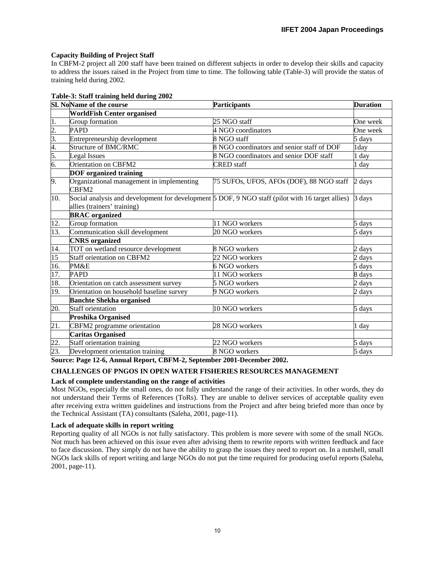# **Capacity Building of Project Staff**

In CBFM-2 project all 200 staff have been trained on different subjects in order to develop their skills and capacity to address the issues raised in the Project from time to time. The following table (Table-3) will provide the status of training held during 2002.

#### **Table-3: Staff training held during 2002**

|                                                 | Sl. NoName of the course                                                                         | Participants                               | <b>Duration</b>          |
|-------------------------------------------------|--------------------------------------------------------------------------------------------------|--------------------------------------------|--------------------------|
|                                                 | <b>WorldFish Center organised</b>                                                                |                                            |                          |
| 1.                                              | Group formation                                                                                  | 25 NGO staff                               | One week                 |
|                                                 | <b>PAPD</b>                                                                                      | 4 NGO coordinators                         | One week                 |
|                                                 | Entrepreneurship development                                                                     | 8 NGO staff                                | 5 days                   |
| $\frac{2}{3}$<br>$\frac{3}{4}$<br>$\frac{4}{5}$ | Structure of BMC/RMC                                                                             | 8 NGO coordinators and senior staff of DOF | 1day                     |
|                                                 | Legal Issues                                                                                     | 8 NGO coordinators and senior DOF staff    | 1 day                    |
| 6.                                              | Orientation on CBFM2                                                                             | <b>CRED</b> staff                          | 1 day                    |
|                                                 | <b>DOF</b> organized training                                                                    |                                            |                          |
| 9.                                              | Organizational management in implementing<br>CBFM2                                               | 75 SUFOs, UFOS, AFOs (DOF), 88 NGO staff   | 2 days                   |
| 10.                                             | Social analysis and development for development 5 DOF, 9 NGO staff (pilot with 16 target allies) |                                            | 3 days                   |
|                                                 | allies (trainers' training)                                                                      |                                            |                          |
|                                                 | <b>BRAC</b> organized                                                                            |                                            |                          |
| 12.                                             | Group formation                                                                                  | 11 NGO workers                             | 5 days                   |
| 13.                                             | Communication skill development                                                                  | $20$ NGO workers                           | 5 days                   |
|                                                 | <b>CNRS</b> organized                                                                            |                                            |                          |
| 14.                                             | TOT on wetland resource development                                                              | 8 NGO workers                              | 2 days                   |
| 15                                              | Staff orientation on CBFM2                                                                       | 22 NGO workers                             | 2 days                   |
| 16.                                             | PM&E                                                                                             | 6 NGO workers                              | $5 \frac{\text{days}}{}$ |
| 17.                                             | <b>PAPD</b>                                                                                      | 11 NGO workers                             | 8 days                   |
| 18.                                             | Orientation on catch assessment survey                                                           | 5 NGO workers                              | 2 days                   |
| 19.                                             | Orientation on household baseline survey                                                         | 9 NGO workers                              | 2 days                   |
|                                                 | <b>Banchte Shekha organised</b>                                                                  |                                            |                          |
| 20.                                             | <b>Staff orientation</b>                                                                         | 10 NGO workers                             | 5 days                   |
|                                                 | Proshika Organised                                                                               |                                            |                          |
| 21.                                             | CBFM2 programme orientation                                                                      | 28 NGO workers                             | 1 day                    |
|                                                 | <b>Caritas Organised</b>                                                                         |                                            |                          |
| 22.                                             | Staff orientation training                                                                       | 22 NGO workers                             | 5 days                   |
| 23.                                             | Development orientation training                                                                 | 8 NGO workers                              | 5 days                   |

**Source: Page 12-6, Annual Report, CBFM-2, September 2001-December 2002.** 

# **CHALLENGES OF PNGOS IN OPEN WATER FISHERIES RESOURCES MANAGEMENT**

# **Lack of complete understanding on the range of activities**

Most NGOs, especially the small ones, do not fully understand the range of their activities. In other words, they do not understand their Terms of References (ToRs). They are unable to deliver services of acceptable quality even after receiving extra written guidelines and instructions from the Project and after being briefed more than once by the Technical Assistant (TA) consultants (Saleha, 2001, page-11).

#### **Lack of adequate skills in report writing**

Reporting quality of all NGOs is not fully satisfactory. This problem is more severe with some of the small NGOs. Not much has been achieved on this issue even after advising them to rewrite reports with written feedback and face to face discussion. They simply do not have the ability to grasp the issues they need to report on. In a nutshell, small NGOs lack skills of report writing and large NGOs do not put the time required for producing useful reports (Saleha, 2001, page-11).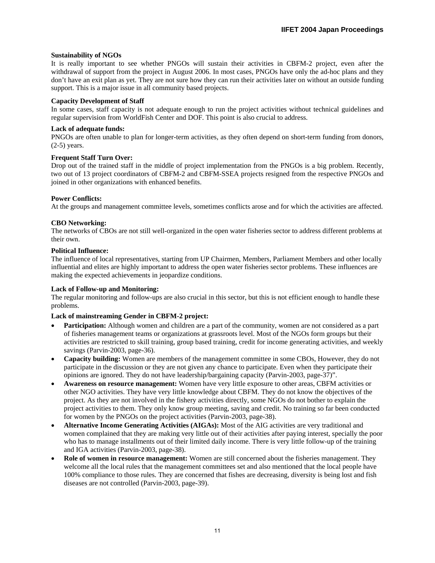### **Sustainability of NGOs**

It is really important to see whether PNGOs will sustain their activities in CBFM-2 project, even after the withdrawal of support from the project in August 2006. In most cases, PNGOs have only the ad-hoc plans and they don't have an exit plan as yet. They are not sure how they can run their activities later on without an outside funding support. This is a major issue in all community based projects.

### **Capacity Development of Staff**

In some cases, staff capacity is not adequate enough to run the project activities without technical guidelines and regular supervision from WorldFish Center and DOF. This point is also crucial to address.

### **Lack of adequate funds:**

PNGOs are often unable to plan for longer-term activities, as they often depend on short-term funding from donors, (2-5) years.

### **Frequent Staff Turn Over:**

Drop out of the trained staff in the middle of project implementation from the PNGOs is a big problem. Recently, two out of 13 project coordinators of CBFM-2 and CBFM-SSEA projects resigned from the respective PNGOs and joined in other organizations with enhanced benefits.

### **Power Conflicts:**

At the groups and management committee levels, sometimes conflicts arose and for which the activities are affected.

### **CBO Networking:**

The networks of CBOs are not still well-organized in the open water fisheries sector to address different problems at their own.

### **Political Influence:**

The influence of local representatives, starting from UP Chairmen, Members, Parliament Members and other locally influential and elites are highly important to address the open water fisheries sector problems. These influences are making the expected achievements in jeopardize conditions.

# **Lack of Follow-up and Monitoring:**

The regular monitoring and follow-ups are also crucial in this sector, but this is not efficient enough to handle these problems.

# **Lack of mainstreaming Gender in CBFM-2 project:**

- **Participation:** Although women and children are a part of the community, women are not considered as a part of fisheries management teams or organizations at grassroots level. Most of the NGOs form groups but their activities are restricted to skill training, group based training, credit for income generating activities, and weekly savings (Parvin-2003, page-36).
- **Capacity building:** Women are members of the management committee in some CBOs, However, they do not participate in the discussion or they are not given any chance to participate. Even when they participate their opinions are ignored. They do not have leadership/bargaining capacity (Parvin-2003, page-37)".
- **Awareness on resource management:** Women have very little exposure to other areas, CBFM activities or other NGO activities. They have very little knowledge about CBFM. They do not know the objectives of the project. As they are not involved in the fishery activities directly, some NGOs do not bother to explain the project activities to them. They only know group meeting, saving and credit. No training so far been conducted for women by the PNGOs on the project activities (Parvin-2003, page-38).
- **Alternative Income Generating Activities (AIGAs):** Most of the AIG activities are very traditional and women complained that they are making very little out of their activities after paying interest, specially the poor who has to manage installments out of their limited daily income. There is very little follow-up of the training and IGA activities (Parvin-2003, page-38).
- **Role of women in resource management:** Women are still concerned about the fisheries management. They welcome all the local rules that the management committees set and also mentioned that the local people have 100% compliance to those rules. They are concerned that fishes are decreasing, diversity is being lost and fish diseases are not controlled (Parvin-2003, page-39).